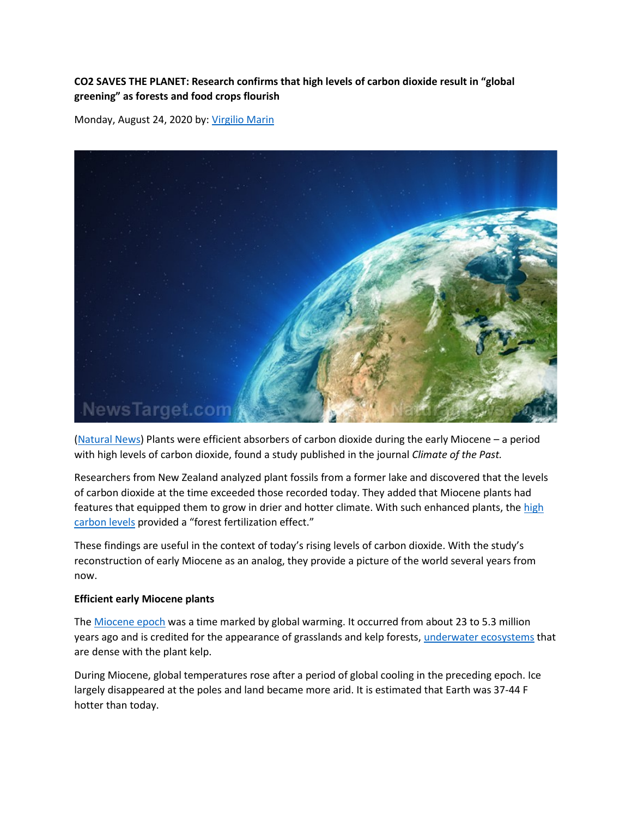## **CO2 SAVES THE PLANET: Research confirms that high levels of carbon dioxide result in "global greening" as forests and food crops flourish**

Monday, August 24, 2020 by: [Virgilio Marin](https://www.naturalnews.com/author/virgiliomarin)



[\(Natural News\)](https://www.naturalnews.com/) Plants were efficient absorbers of carbon dioxide during the early Miocene – a period with high levels of carbon dioxide, found a study published in the journal *Climate of the Past.*

Researchers from New Zealand analyzed plant fossils from a former lake and discovered that the levels of carbon dioxide at the time exceeded those recorded today. They added that Miocene plants had features that equipped them to grow in drier and hotter climate. With such enhanced plants, the high [carbon levels](https://www.sciencedaily.com/releases/2020/08/200820102444.htm) provided a "forest fertilization effect."

These findings are useful in the context of today's rising levels of carbon dioxide. With the study's reconstruction of early Miocene as an analog, they provide a picture of the world several years from now.

## **Efficient early Miocene plants**

The [Miocene epoch](https://ucmp.berkeley.edu/tertiary/mio.html) was a time marked by global warming. It occurred from about 23 to 5.3 million years ago and is credited for the appearance of grasslands and kelp forests[, underwater ecosystems](http://ecology.news/) that are dense with the plant kelp.

During Miocene, global temperatures rose after a period of global cooling in the preceding epoch. Ice largely disappeared at the poles and land became more arid. It is estimated that Earth was 37-44 F hotter than today.